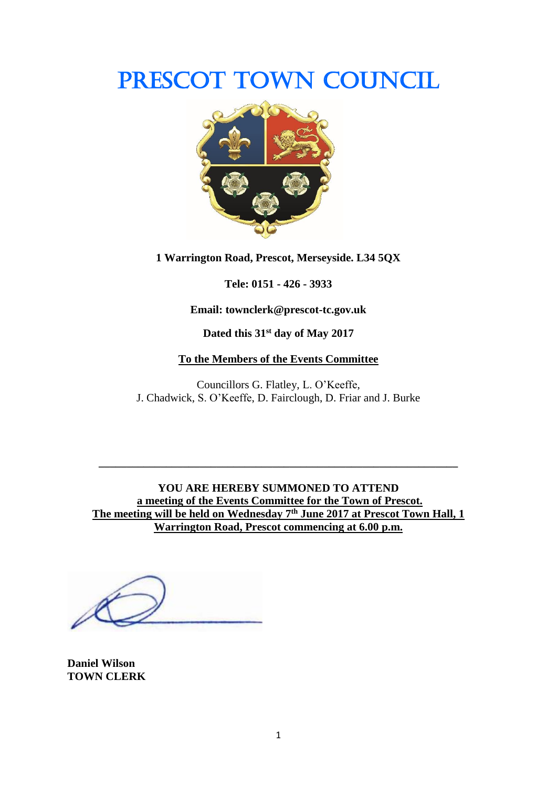# PRESCOT TOWN COUNCIL



**1 Warrington Road, Prescot, Merseyside. L34 5QX**

**Tele: 0151 - 426 - 3933**

**Email: townclerk@prescot-tc.gov.uk**

**Dated this 31st day of May 2017**

#### **To the Members of the Events Committee**

Councillors G. Flatley, L. O'Keeffe, J. Chadwick, S. O'Keeffe, D. Fairclough, D. Friar and J. Burke

**YOU ARE HEREBY SUMMONED TO ATTEND a meeting of the Events Committee for the Town of Prescot. The meeting will be held on Wednesday 7 th June 2017 at Prescot Town Hall, 1 Warrington Road, Prescot commencing at 6.00 p.m.**

**\_\_\_\_\_\_\_\_\_\_\_\_\_\_\_\_\_\_\_\_\_\_\_\_\_\_\_\_\_\_\_\_\_\_\_\_\_\_\_\_\_\_\_\_\_\_\_\_\_\_\_\_\_\_\_\_\_\_\_\_\_\_\_\_**

**Daniel Wilson TOWN CLERK**